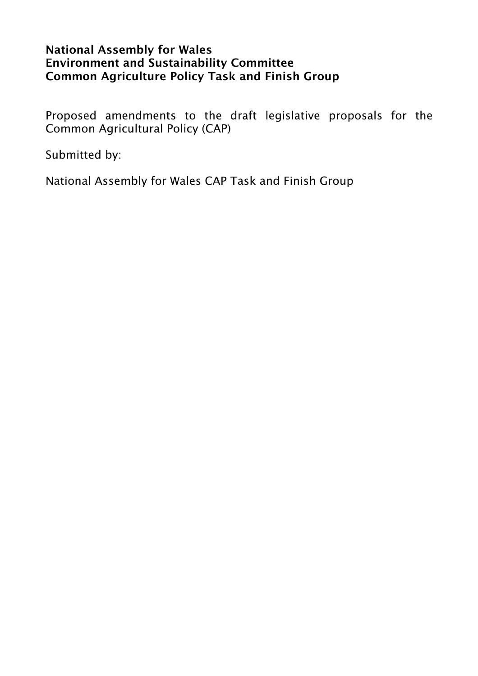### National Assembly for Wales Environment and Sustainability Committee Common Agriculture Policy Task and Finish Group

Proposed amendments to the draft legislative proposals for the Common Agricultural Policy (CAP)

Submitted by:

National Assembly for Wales CAP Task and Finish Group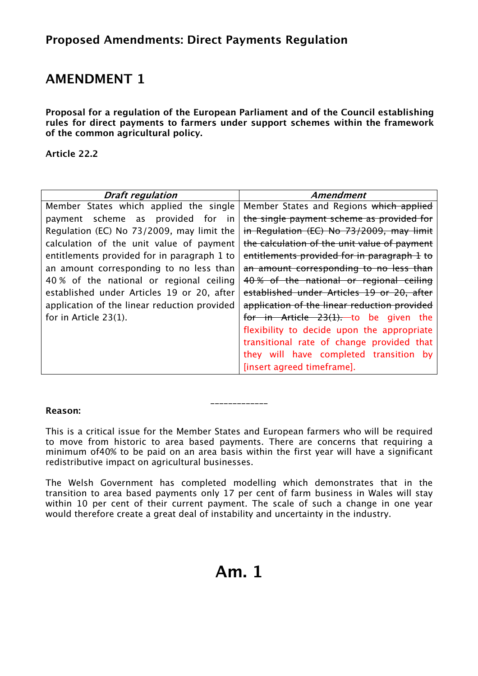Proposal for a regulation of the European Parliament and of the Council establishing rules for direct payments to farmers under support schemes within the framework of the common agricultural policy.

Article 22.2

| <b>Draft regulation</b>                      | Amendment                                    |
|----------------------------------------------|----------------------------------------------|
| Member States which applied the single       | Member States and Regions which applied      |
| payment scheme as provided for in            | the single payment scheme as provided for    |
| Regulation (EC) No 73/2009, may limit the    | in Regulation (EC) No 73/2009, may limit     |
| calculation of the unit value of payment     | the calculation of the unit value of payment |
| entitlements provided for in paragraph 1 to  | entitlements provided for in paragraph 1 to  |
| an amount corresponding to no less than      | an amount corresponding to no less than      |
| 40% of the national or regional ceiling      | 40% of the national or regional ceiling      |
| established under Articles 19 or 20, after   | established under Articles 19 or 20, after   |
| application of the linear reduction provided | application of the linear reduction provided |
| for in Article 23(1).                        | for in Article 23(1). to be given the        |
|                                              | flexibility to decide upon the appropriate   |
|                                              | transitional rate of change provided that    |
|                                              | they will have completed transition by       |
|                                              | [insert agreed timeframe].                   |

#### Reason:

*This is a critical issue for the Member States and European farmers who will be required to move from historic to area based payments. There are concerns that requiring a minimum of40% to be paid on an area basis within the first year will have a significant redistributive impact on agricultural businesses.* 

*\_\_\_\_\_\_\_\_\_\_\_\_\_* 

*The Welsh Government has completed modelling which demonstrates that in the transition to area based payments only 17 per cent of farm business in Wales will stay*  within 10 per cent of their current payment. The scale of such a change in one year *would therefore create a great deal of instability and uncertainty in the industry.* 

# Am. 1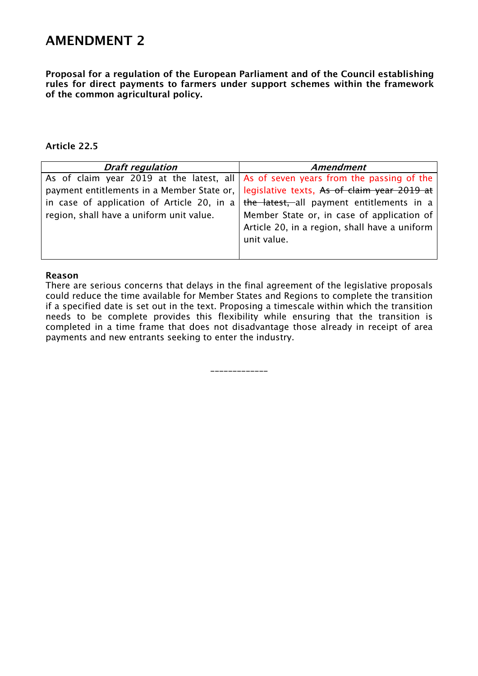Proposal for a regulation of the European Parliament and of the Council establishing rules for direct payments to farmers under support schemes within the framework of the common agricultural policy.

#### Article 22.5

| <b>Draft regulation</b>                  | Amendment                                                                                |
|------------------------------------------|------------------------------------------------------------------------------------------|
|                                          | As of claim year 2019 at the latest, all $ $ As of seven years from the passing of the   |
|                                          | payment entitlements in a Member State or,   legislative texts, As of claim year 2019 at |
|                                          | in case of application of Article 20, in a the latest, all payment entitlements in a     |
| region, shall have a uniform unit value. | Member State or, in case of application of                                               |
|                                          | Article 20, in a region, shall have a uniform                                            |
|                                          | unit value.                                                                              |
|                                          |                                                                                          |

#### Reason

*There are serious concerns that delays in the final agreement of the legislative proposals could reduce the time available for Member States and Regions to complete the transition if a specified date is set out in the text. Proposing a timescale within which the transition needs to be complete provides this flexibility while ensuring that the transition is completed in a time frame that does not disadvantage those already in receipt of area payments and new entrants seeking to enter the industry.* 

*\_\_\_\_\_\_\_\_\_\_\_\_\_*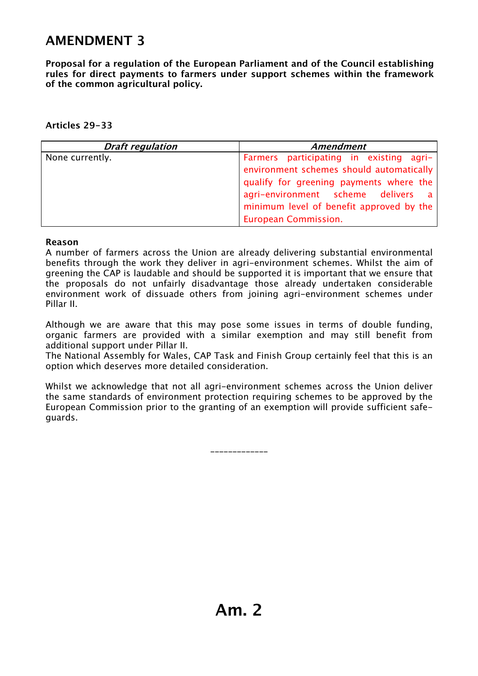Proposal for a regulation of the European Parliament and of the Council establishing rules for direct payments to farmers under support schemes within the framework of the common agricultural policy.

### Articles 29-33

| <b>Draft regulation</b> | <b>Amendment</b>                                                                                                          |
|-------------------------|---------------------------------------------------------------------------------------------------------------------------|
| None currently.         | Farmers participating in existing agri-                                                                                   |
|                         | environment schemes should automatically<br>qualify for greening payments where the<br>agri-environment scheme delivers a |
|                         | minimum level of benefit approved by the                                                                                  |
|                         | <b>European Commission.</b>                                                                                               |

#### Reason

*A number of farmers across the Union are already delivering substantial environmental benefits through the work they deliver in agri-environment schemes. Whilst the aim of greening the CAP is laudable and should be supported it is important that we ensure that the proposals do not unfairly disadvantage those already undertaken considerable environment work of dissuade others from joining agri-environment schemes under Pillar II.* 

*Although we are aware that this may pose some issues in terms of double funding, organic farmers are provided with a similar exemption and may still benefit from additional support under Pillar II.* 

*The National Assembly for Wales, CAP Task and Finish Group certainly feel that this is an option which deserves more detailed consideration.* 

Whilst we acknowledge that not all agri-environment schemes across the Union deliver *the same standards of environment protection requiring schemes to be approved by the European Commission prior to the granting of an exemption will provide sufficient safeguards.* 

*\_\_\_\_\_\_\_\_\_\_\_\_\_*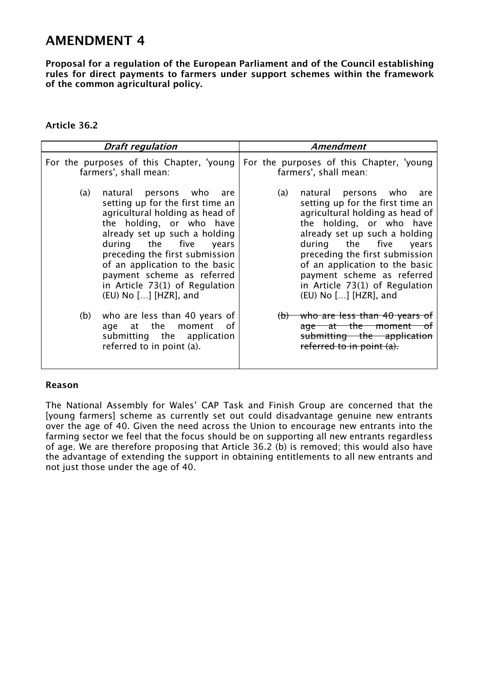Proposal for a regulation of the European Parliament and of the Council establishing rules for direct payments to farmers under support schemes within the framework of the common agricultural policy.

### Article 36.2

| <b>Draft regulation</b>                                 | <b>Amendment</b>                                                                   |
|---------------------------------------------------------|------------------------------------------------------------------------------------|
| For the purposes of this Chapter, 'young                | For the purposes of this Chapter, 'young                                           |
| farmers', shall mean:                                   | farmers', shall mean:                                                              |
| natural persons who are                                 | (a)                                                                                |
| (a)                                                     | natural persons who are                                                            |
| setting up for the first time an                        | setting up for the first time an                                                   |
| agricultural holding as head of                         | agricultural holding as head of                                                    |
| the holding, or who have                                | the holding, or who have                                                           |
| already set up such a holding                           | already set up such a holding                                                      |
| during the five years                                   | during the five                                                                    |
| preceding the first submission                          | years                                                                              |
| of an application to the basic                          | preceding the first submission                                                     |
| payment scheme as referred                              | of an application to the basic                                                     |
| in Article 73(1) of Regulation                          | payment scheme as referred                                                         |
| (EU) No [] [HZR], and                                   | in Article 73(1) of Regulation                                                     |
| who are less than 40 years of                           | (EU) No [] [HZR], and                                                              |
| (b)                                                     | <del>who are less than 40 years of</del>                                           |
| age at the moment of                                    | $\Theta$                                                                           |
| submitting the application<br>referred to in point (a). | age at the moment of<br>submitting the application<br>referred to in point $(a)$ . |

#### Reason

*The National Assembly for Wales' CAP Task and Finish Group are concerned that the [young farmers] scheme as currently set out could disadvantage genuine new entrants over the age of 40. Given the need across the Union to encourage new entrants into the farming sector we feel that the focus should be on supporting all new entrants regardless of age. We are therefore proposing that Article 36.2 (b) is removed; this would also have the advantage of extending the support in obtaining entitlements to all new entrants and not just those under the age of 40.*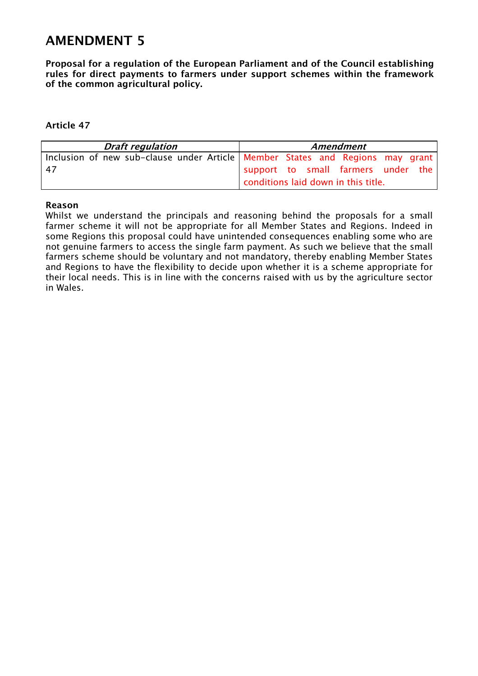Proposal for a regulation of the European Parliament and of the Council establishing rules for direct payments to farmers under support schemes within the framework of the common agricultural policy.

#### Article 47

| <b>Draft regulation</b>                                                         | <b>Amendment</b>                    |
|---------------------------------------------------------------------------------|-------------------------------------|
| Inclusion of new sub-clause under Article   Member States and Regions may grant |                                     |
| -47                                                                             | support to small farmers under the  |
|                                                                                 | conditions laid down in this title. |

#### Reason

*Whilst we understand the principals and reasoning behind the proposals for a small* farmer scheme it will not be appropriate for all Member States and Regions. Indeed in *some Regions this proposal could have unintended consequences enabling some who are not genuine farmers to access the single farm payment. As such we believe that the small farmers scheme should be voluntary and not mandatory, thereby enabling Member States and Regions to have the flexibility to decide upon whether it is a scheme appropriate for their local needs. This is in line with the concerns raised with us by the agriculture sector in Wales.*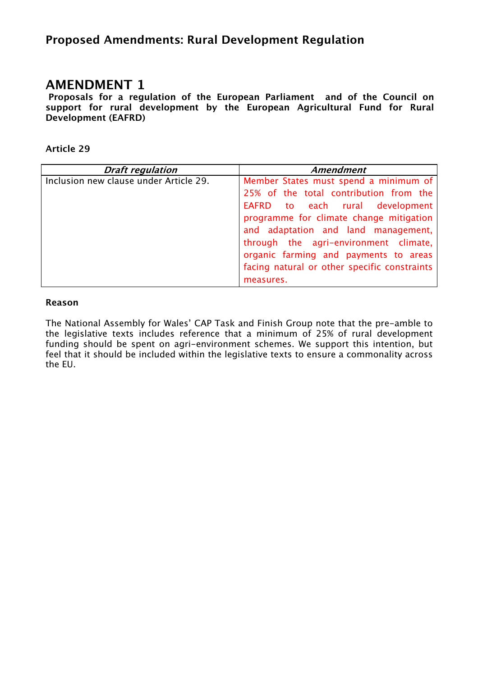### Proposed Amendments: Rural Development Regulation

### AMENDMENT 1

 Proposals for a regulation of the European Parliament and of the Council on support for rural development by the European Agricultural Fund for Rural Development (EAFRD)

### Article 29

| <b>Draft regulation</b>                | <b>Amendment</b>                             |
|----------------------------------------|----------------------------------------------|
| Inclusion new clause under Article 29. | Member States must spend a minimum of        |
|                                        | 25% of the total contribution from the       |
|                                        | EAFRD to each rural development              |
|                                        | programme for climate change mitigation      |
|                                        | and adaptation and land management,          |
|                                        | through the agri-environment climate,        |
|                                        | organic farming and payments to areas        |
|                                        | facing natural or other specific constraints |
|                                        | measures.                                    |

#### Reason

*The National Assembly for Wales' CAP Task and Finish Group note that the pre-amble to the legislative texts includes reference that a minimum of 25% of rural development*  funding should be spent on agri-environment schemes. We support this intention, but *feel that it should be included within the legislative texts to ensure a commonality across the EU.*